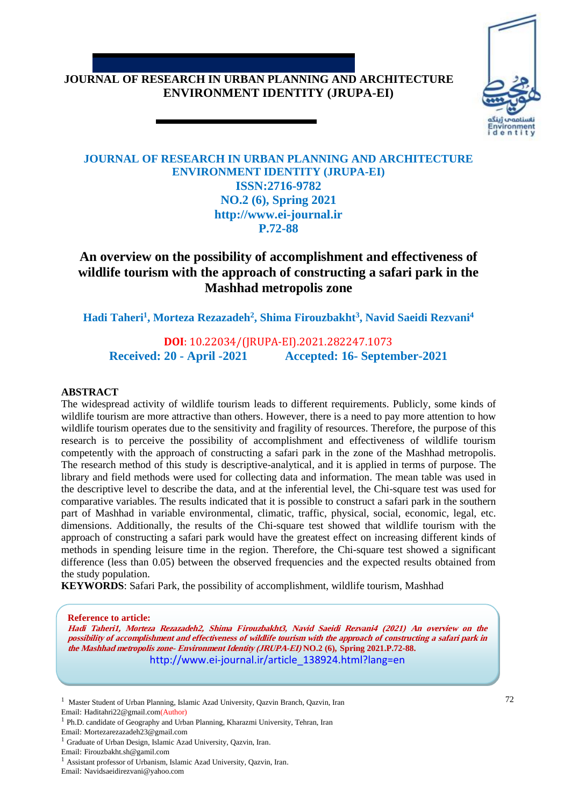#### **JOURNAL OF RESEARCH IN URBAN PLANNING AND ARCHITECTURE ENVIRONMENT IDENTITY (JRUPA-EI)**



#### **JOURNAL OF RESEARCH IN URBAN PLANNING AND ARCHITECTURE ENVIRONMENT IDENTITY (JRUPA-EI) ISSN:2716-9782 NO.2 (6), Spring 2021 http://www.ei-journal.ir P.72-88**

# **An overview on the possibility of accomplishment and effectiveness of wildlife tourism with the approach of constructing a safari park in the Mashhad metropolis zone**

**Hadi Taheri<sup>1</sup> , Morteza Rezazadeh<sup>2</sup> , Shima Firouzbakht<sup>3</sup> , Navid Saeidi Rezvani<sup>4</sup>**

**DOI**: 10.22034/(JRUPA-EI).2021.282247.1073 **Received: 20 - April -2021 Accepted: 16- September-2021**

#### **ABSTRACT**

The widespread activity of wildlife tourism leads to different requirements. Publicly, some kinds of wildlife tourism are more attractive than others. However, there is a need to pay more attention to how wildlife tourism operates due to the sensitivity and fragility of resources. Therefore, the purpose of this research is to perceive the possibility of accomplishment and effectiveness of wildlife tourism competently with the approach of constructing a safari park in the zone of the Mashhad metropolis. The research method of this study is descriptive-analytical, and it is applied in terms of purpose. The library and field methods were used for collecting data and information. The mean table was used in the descriptive level to describe the data, and at the inferential level, the Chi-square test was used for comparative variables. The results indicated that it is possible to construct a safari park in the southern part of Mashhad in variable environmental, climatic, traffic, physical, social, economic, legal, etc. dimensions. Additionally, the results of the Chi-square test showed that wildlife tourism with the approach of constructing a safari park would have the greatest effect on increasing different kinds of methods in spending leisure time in the region. Therefore, the Chi-square test showed a significant difference (less than 0.05) between the observed frequencies and the expected results obtained from the study population.

**KEYWORDS**: Safari Park, the possibility of accomplishment, wildlife tourism, Mashhad

**Reference to article:**

**Hadi Taheri1, Morteza Rezazadeh2, Shima Firouzbakht3, Navid Saeidi Rezvani4 (2021) An overview on the possibility of accomplishment and effectiveness of wildlife tourism with the approach of constructing a safari park in the Mashhad metropolis zone- Environment Identity (JRUPA-EI) NO.2 (6), Spring 2021.P.72-88.** http://www.ei-journal.ir/article\_138924.html?lang=en

<sup>&</sup>lt;sup>1</sup> Master Student of Urban Planning, Islamic Azad University, Qazvin Branch, Qazvin, Iran Email: Haditahri22@gmail.com(Author)

<sup>&</sup>lt;sup>1</sup> Ph.D. candidate of Geography and Urban Planning, Kharazmi University, Tehran, Iran

Email: Mortezarezazadeh23@gmail.com

<sup>&</sup>lt;sup>1</sup> Graduate of Urban Design, Islamic Azad University, Qazvin, Iran.

Email: Firouzbakht.sh@gamil.com

<sup>&</sup>lt;sup>1</sup> Assistant professor of Urbanism, Islamic Azad University, Qazvin, Iran.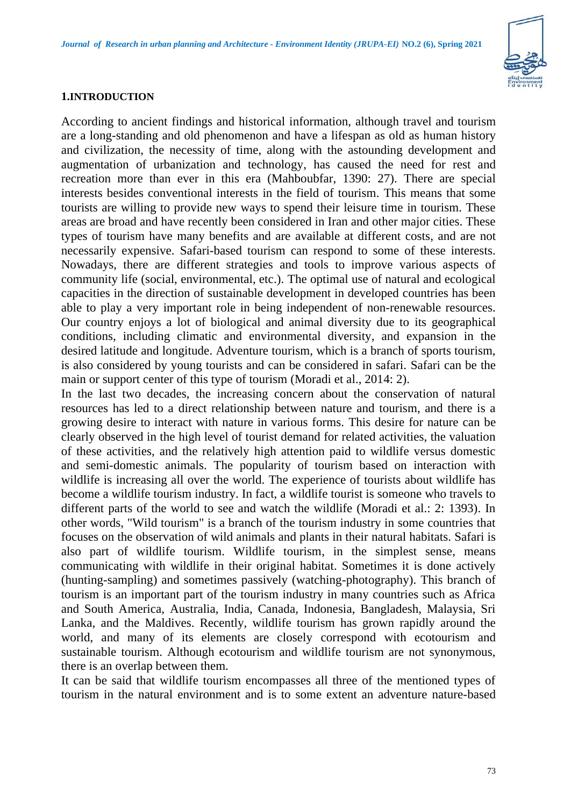

#### **1.INTRODUCTION**

According to ancient findings and historical information, although travel and tourism are a long-standing and old phenomenon and have a lifespan as old as human history and civilization, the necessity of time, along with the astounding development and augmentation of urbanization and technology, has caused the need for rest and recreation more than ever in this era (Mahboubfar, 1390: 27). There are special interests besides conventional interests in the field of tourism. This means that some tourists are willing to provide new ways to spend their leisure time in tourism. These areas are broad and have recently been considered in Iran and other major cities. These types of tourism have many benefits and are available at different costs, and are not necessarily expensive. Safari-based tourism can respond to some of these interests. Nowadays, there are different strategies and tools to improve various aspects of community life (social, environmental, etc.). The optimal use of natural and ecological capacities in the direction of sustainable development in developed countries has been able to play a very important role in being independent of non-renewable resources. Our country enjoys a lot of biological and animal diversity due to its geographical conditions, including climatic and environmental diversity, and expansion in the desired latitude and longitude. Adventure tourism, which is a branch of sports tourism, is also considered by young tourists and can be considered in safari. Safari can be the main or support center of this type of tourism (Moradi et al., 2014: 2).

In the last two decades, the increasing concern about the conservation of natural resources has led to a direct relationship between nature and tourism, and there is a growing desire to interact with nature in various forms. This desire for nature can be clearly observed in the high level of tourist demand for related activities, the valuation of these activities, and the relatively high attention paid to wildlife versus domestic and semi-domestic animals. The popularity of tourism based on interaction with wildlife is increasing all over the world. The experience of tourists about wildlife has become a wildlife tourism industry. In fact, a wildlife tourist is someone who travels to different parts of the world to see and watch the wildlife (Moradi et al.: 2: 1393). In other words, "Wild tourism" is a branch of the tourism industry in some countries that focuses on the observation of wild animals and plants in their natural habitats. Safari is also part of wildlife tourism. Wildlife tourism, in the simplest sense, means communicating with wildlife in their original habitat. Sometimes it is done actively (hunting-sampling) and sometimes passively (watching-photography). This branch of tourism is an important part of the tourism industry in many countries such as Africa and South America, Australia, India, Canada, Indonesia, Bangladesh, Malaysia, Sri Lanka, and the Maldives. Recently, wildlife tourism has grown rapidly around the world, and many of its elements are closely correspond with ecotourism and sustainable tourism. Although ecotourism and wildlife tourism are not synonymous, there is an overlap between them.

It can be said that wildlife tourism encompasses all three of the mentioned types of tourism in the natural environment and is to some extent an adventure nature-based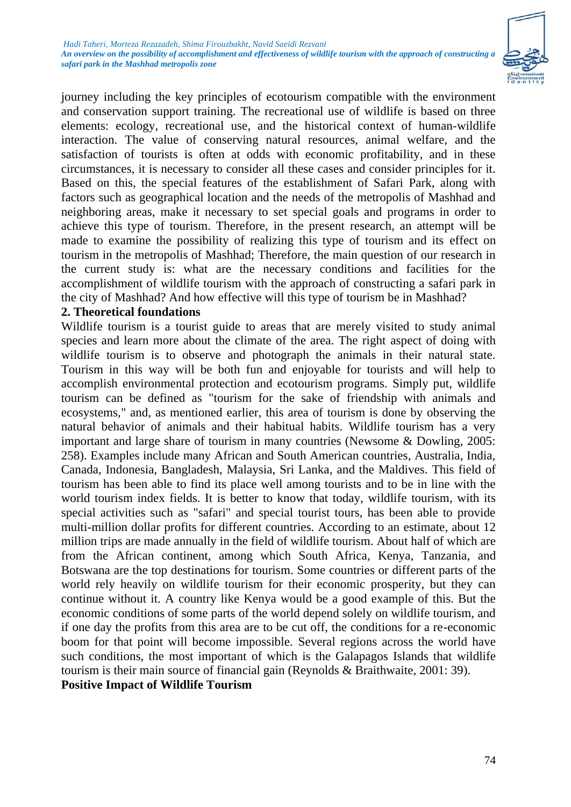

journey including the key principles of ecotourism compatible with the environment and conservation support training. The recreational use of wildlife is based on three elements: ecology, recreational use, and the historical context of human-wildlife interaction. The value of conserving natural resources, animal welfare, and the satisfaction of tourists is often at odds with economic profitability, and in these circumstances, it is necessary to consider all these cases and consider principles for it. Based on this, the special features of the establishment of Safari Park, along with factors such as geographical location and the needs of the metropolis of Mashhad and neighboring areas, make it necessary to set special goals and programs in order to achieve this type of tourism. Therefore, in the present research, an attempt will be made to examine the possibility of realizing this type of tourism and its effect on tourism in the metropolis of Mashhad; Therefore, the main question of our research in the current study is: what are the necessary conditions and facilities for the accomplishment of wildlife tourism with the approach of constructing a safari park in the city of Mashhad? And how effective will this type of tourism be in Mashhad?

#### **2. Theoretical foundations**

Wildlife tourism is a tourist guide to areas that are merely visited to study animal species and learn more about the climate of the area. The right aspect of doing with wildlife tourism is to observe and photograph the animals in their natural state. Tourism in this way will be both fun and enjoyable for tourists and will help to accomplish environmental protection and ecotourism programs. Simply put, wildlife tourism can be defined as "tourism for the sake of friendship with animals and ecosystems," and, as mentioned earlier, this area of tourism is done by observing the natural behavior of animals and their habitual habits. Wildlife tourism has a very important and large share of tourism in many countries (Newsome & Dowling, 2005: 258). Examples include many African and South American countries, Australia, India, Canada, Indonesia, Bangladesh, Malaysia, Sri Lanka, and the Maldives. This field of tourism has been able to find its place well among tourists and to be in line with the world tourism index fields. It is better to know that today, wildlife tourism, with its special activities such as "safari" and special tourist tours, has been able to provide multi-million dollar profits for different countries. According to an estimate, about 12 million trips are made annually in the field of wildlife tourism. About half of which are from the African continent, among which South Africa, Kenya, Tanzania, and Botswana are the top destinations for tourism. Some countries or different parts of the world rely heavily on wildlife tourism for their economic prosperity, but they can continue without it. A country like Kenya would be a good example of this. But the economic conditions of some parts of the world depend solely on wildlife tourism, and if one day the profits from this area are to be cut off, the conditions for a re-economic boom for that point will become impossible. Several regions across the world have such conditions, the most important of which is the Galapagos Islands that wildlife tourism is their main source of financial gain (Reynolds & Braithwaite, 2001: 39).

**Positive Impact of Wildlife Tourism**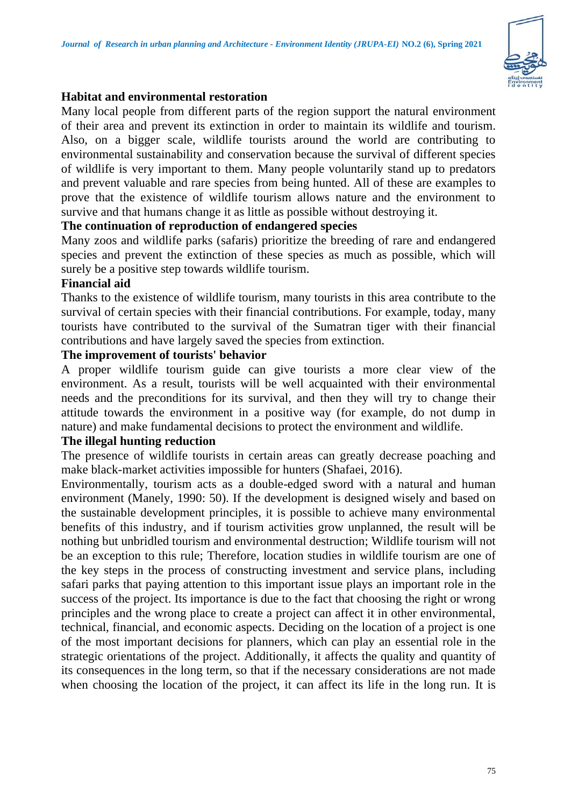

## **Habitat and environmental restoration**

Many local people from different parts of the region support the natural environment of their area and prevent its extinction in order to maintain its wildlife and tourism. Also, on a bigger scale, wildlife tourists around the world are contributing to environmental sustainability and conservation because the survival of different species of wildlife is very important to them. Many people voluntarily stand up to predators and prevent valuable and rare species from being hunted. All of these are examples to prove that the existence of wildlife tourism allows nature and the environment to survive and that humans change it as little as possible without destroying it.

## **The continuation of reproduction of endangered species**

Many zoos and wildlife parks (safaris) prioritize the breeding of rare and endangered species and prevent the extinction of these species as much as possible, which will surely be a positive step towards wildlife tourism.

## **Financial aid**

Thanks to the existence of wildlife tourism, many tourists in this area contribute to the survival of certain species with their financial contributions. For example, today, many tourists have contributed to the survival of the Sumatran tiger with their financial contributions and have largely saved the species from extinction.

## **The improvement of tourists' behavior**

A proper wildlife tourism guide can give tourists a more clear view of the environment. As a result, tourists will be well acquainted with their environmental needs and the preconditions for its survival, and then they will try to change their attitude towards the environment in a positive way (for example, do not dump in nature) and make fundamental decisions to protect the environment and wildlife.

#### **The illegal hunting reduction**

The presence of wildlife tourists in certain areas can greatly decrease poaching and make black-market activities impossible for hunters (Shafaei, 2016).

Environmentally, tourism acts as a double-edged sword with a natural and human environment (Manely, 1990: 50). If the development is designed wisely and based on the sustainable development principles, it is possible to achieve many environmental benefits of this industry, and if tourism activities grow unplanned, the result will be nothing but unbridled tourism and environmental destruction; Wildlife tourism will not be an exception to this rule; Therefore, location studies in wildlife tourism are one of the key steps in the process of constructing investment and service plans, including safari parks that paying attention to this important issue plays an important role in the success of the project. Its importance is due to the fact that choosing the right or wrong principles and the wrong place to create a project can affect it in other environmental, technical, financial, and economic aspects. Deciding on the location of a project is one of the most important decisions for planners, which can play an essential role in the strategic orientations of the project. Additionally, it affects the quality and quantity of its consequences in the long term, so that if the necessary considerations are not made when choosing the location of the project, it can affect its life in the long run. It is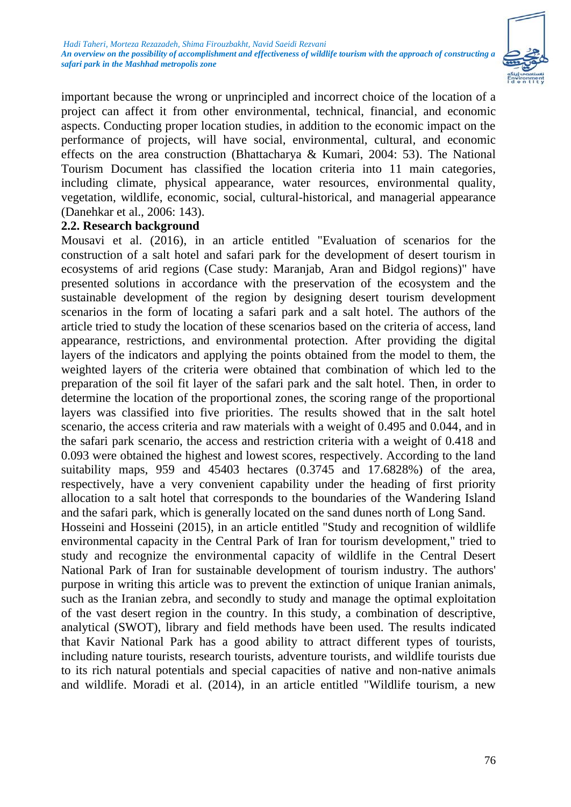

important because the wrong or unprincipled and incorrect choice of the location of a project can affect it from other environmental, technical, financial, and economic aspects. Conducting proper location studies, in addition to the economic impact on the performance of projects, will have social, environmental, cultural, and economic effects on the area construction (Bhattacharya & Kumari, 2004: 53). The National Tourism Document has classified the location criteria into 11 main categories, including climate, physical appearance, water resources, environmental quality, vegetation, wildlife, economic, social, cultural-historical, and managerial appearance (Danehkar et al., 2006: 143).

#### **2.2. Research background**

Mousavi et al. (2016), in an article entitled "Evaluation of scenarios for the construction of a salt hotel and safari park for the development of desert tourism in ecosystems of arid regions (Case study: Maranjab, Aran and Bidgol regions)" have presented solutions in accordance with the preservation of the ecosystem and the sustainable development of the region by designing desert tourism development scenarios in the form of locating a safari park and a salt hotel. The authors of the article tried to study the location of these scenarios based on the criteria of access, land appearance, restrictions, and environmental protection. After providing the digital layers of the indicators and applying the points obtained from the model to them, the weighted layers of the criteria were obtained that combination of which led to the preparation of the soil fit layer of the safari park and the salt hotel. Then, in order to determine the location of the proportional zones, the scoring range of the proportional layers was classified into five priorities. The results showed that in the salt hotel scenario, the access criteria and raw materials with a weight of 0.495 and 0.044, and in the safari park scenario, the access and restriction criteria with a weight of 0.418 and 0.093 were obtained the highest and lowest scores, respectively. According to the land suitability maps, 959 and 45403 hectares (0.3745 and 17.6828%) of the area, respectively, have a very convenient capability under the heading of first priority allocation to a salt hotel that corresponds to the boundaries of the Wandering Island and the safari park, which is generally located on the sand dunes north of Long Sand. Hosseini and Hosseini (2015), in an article entitled "Study and recognition of wildlife environmental capacity in the Central Park of Iran for tourism development," tried to study and recognize the environmental capacity of wildlife in the Central Desert National Park of Iran for sustainable development of tourism industry. The authors' purpose in writing this article was to prevent the extinction of unique Iranian animals, such as the Iranian zebra, and secondly to study and manage the optimal exploitation of the vast desert region in the country. In this study, a combination of descriptive, analytical (SWOT), library and field methods have been used. The results indicated that Kavir National Park has a good ability to attract different types of tourists, including nature tourists, research tourists, adventure tourists, and wildlife tourists due to its rich natural potentials and special capacities of native and non-native animals and wildlife. Moradi et al. (2014), in an article entitled "Wildlife tourism, a new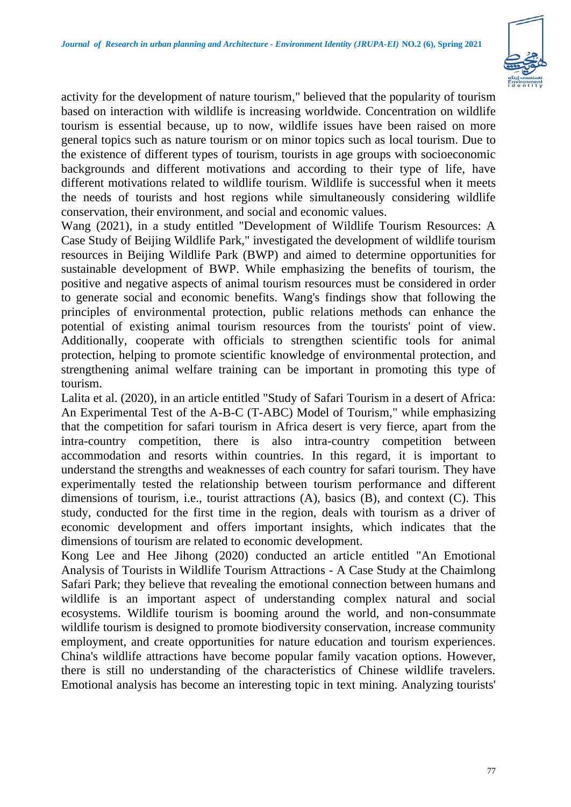

activity for the development of nature tourism," believed that the popularity of tourism based on interaction with wildlife is increasing worldwide. Concentration on wildlife tourism is essential because, up to now, wildlife issues have been raised on more general topics such as nature tourism or on minor topics such as local tourism. Due to the existence of different types of tourism, tourists in age groups with socioeconomic backgrounds and different motivations and according to their type of life, have different motivations related to wildlife tourism. Wildlife is successful when it meets the needs of tourists and host regions while simultaneously considering wildlife conservation, their environment, and social and economic values.

Wang (2021), in a study entitled "Development of Wildlife Tourism Resources: A Case Study of Beijing Wildlife Park," investigated the development of wildlife tourism resources in Beijing Wildlife Park (BWP) and aimed to determine opportunities for sustainable development of BWP. While emphasizing the benefits of tourism, the positive and negative aspects of animal tourism resources must be considered in order to generate social and economic benefits. Wang's findings show that following the principles of environmental protection, public relations methods can enhance the potential of existing animal tourism resources from the tourists' point of view. Additionally, cooperate with officials to strengthen scientific tools for animal protection, helping to promote scientific knowledge of environmental protection, and strengthening animal welfare training can be important in promoting this type of tourism.

Lalita et al. (2020), in an article entitled "Study of Safari Tourism in a desert of Africa: An Experimental Test of the A-B-C (T-ABC) Model of Tourism," while emphasizing that the competition for safari tourism in Africa desert is very fierce, apart from the intra-country competition, there is also intra-country competition between accommodation and resorts within countries. In this regard, it is important to understand the strengths and weaknesses of each country for safari tourism. They have experimentally tested the relationship between tourism performance and different dimensions of tourism, i.e., tourist attractions (A), basics (B), and context (C). This study, conducted for the first time in the region, deals with tourism as a driver of economic development and offers important insights, which indicates that the dimensions of tourism are related to economic development.

Kong Lee and Hee Jihong (2020) conducted an article entitled "An Emotional Analysis of Tourists in Wildlife Tourism Attractions - A Case Study at the Chaimlong Safari Park; they believe that revealing the emotional connection between humans and wildlife is an important aspect of understanding complex natural and social ecosystems. Wildlife tourism is booming around the world, and non-consummate wildlife tourism is designed to promote biodiversity conservation, increase community employment, and create opportunities for nature education and tourism experiences. China's wildlife attractions have become popular family vacation options. However, there is still no understanding of the characteristics of Chinese wildlife travelers. Emotional analysis has become an interesting topic in text mining. Analyzing tourists'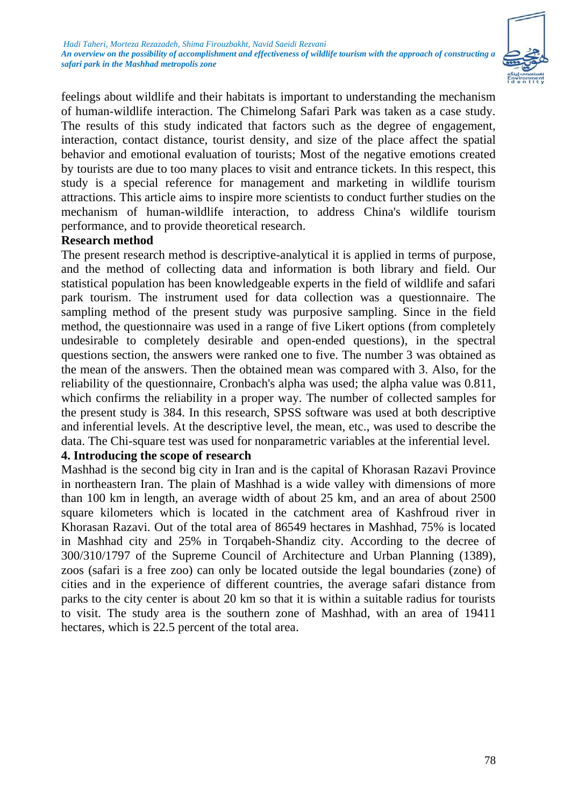

feelings about wildlife and their habitats is important to understanding the mechanism of human-wildlife interaction. The Chimelong Safari Park was taken as a case study. The results of this study indicated that factors such as the degree of engagement, interaction, contact distance, tourist density, and size of the place affect the spatial behavior and emotional evaluation of tourists; Most of the negative emotions created by tourists are due to too many places to visit and entrance tickets. In this respect, this study is a special reference for management and marketing in wildlife tourism attractions. This article aims to inspire more scientists to conduct further studies on the mechanism of human-wildlife interaction, to address China's wildlife tourism performance, and to provide theoretical research.

## **Research method**

The present research method is descriptive-analytical it is applied in terms of purpose, and the method of collecting data and information is both library and field. Our statistical population has been knowledgeable experts in the field of wildlife and safari park tourism. The instrument used for data collection was a questionnaire. The sampling method of the present study was purposive sampling. Since in the field method, the questionnaire was used in a range of five Likert options (from completely undesirable to completely desirable and open-ended questions), in the spectral questions section, the answers were ranked one to five. The number 3 was obtained as the mean of the answers. Then the obtained mean was compared with 3. Also, for the reliability of the questionnaire, Cronbach's alpha was used; the alpha value was 0.811, which confirms the reliability in a proper way. The number of collected samples for the present study is 384. In this research, SPSS software was used at both descriptive and inferential levels. At the descriptive level, the mean, etc., was used to describe the data. The Chi-square test was used for nonparametric variables at the inferential level.

# **4. Introducing the scope of research**

Mashhad is the second big city in Iran and is the capital of Khorasan Razavi Province in northeastern Iran. The plain of Mashhad is a wide valley with dimensions of more than 100 km in length, an average width of about 25 km, and an area of about 2500 square kilometers which is located in the catchment area of Kashfroud river in Khorasan Razavi. Out of the total area of 86549 hectares in Mashhad, 75% is located in Mashhad city and 25% in Torqabeh-Shandiz city. According to the decree of 300/310/1797 of the Supreme Council of Architecture and Urban Planning (1389), zoos (safari is a free zoo) can only be located outside the legal boundaries (zone) of cities and in the experience of different countries, the average safari distance from parks to the city center is about 20 km so that it is within a suitable radius for tourists to visit. The study area is the southern zone of Mashhad, with an area of 19411 hectares, which is 22.5 percent of the total area.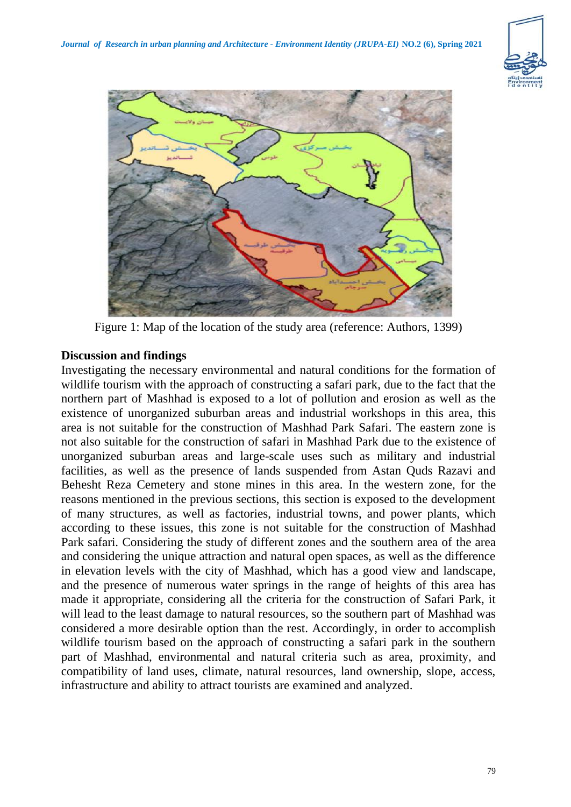



Figure 1: Map of the location of the study area (reference: Authors, 1399)

## **Discussion and findings**

Investigating the necessary environmental and natural conditions for the formation of wildlife tourism with the approach of constructing a safari park, due to the fact that the northern part of Mashhad is exposed to a lot of pollution and erosion as well as the existence of unorganized suburban areas and industrial workshops in this area, this area is not suitable for the construction of Mashhad Park Safari. The eastern zone is not also suitable for the construction of safari in Mashhad Park due to the existence of unorganized suburban areas and large-scale uses such as military and industrial facilities, as well as the presence of lands suspended from Astan Quds Razavi and Behesht Reza Cemetery and stone mines in this area. In the western zone, for the reasons mentioned in the previous sections, this section is exposed to the development of many structures, as well as factories, industrial towns, and power plants, which according to these issues, this zone is not suitable for the construction of Mashhad Park safari. Considering the study of different zones and the southern area of the area and considering the unique attraction and natural open spaces, as well as the difference in elevation levels with the city of Mashhad, which has a good view and landscape, and the presence of numerous water springs in the range of heights of this area has made it appropriate, considering all the criteria for the construction of Safari Park, it will lead to the least damage to natural resources, so the southern part of Mashhad was considered a more desirable option than the rest. Accordingly, in order to accomplish wildlife tourism based on the approach of constructing a safari park in the southern part of Mashhad, environmental and natural criteria such as area, proximity, and compatibility of land uses, climate, natural resources, land ownership, slope, access, infrastructure and ability to attract tourists are examined and analyzed.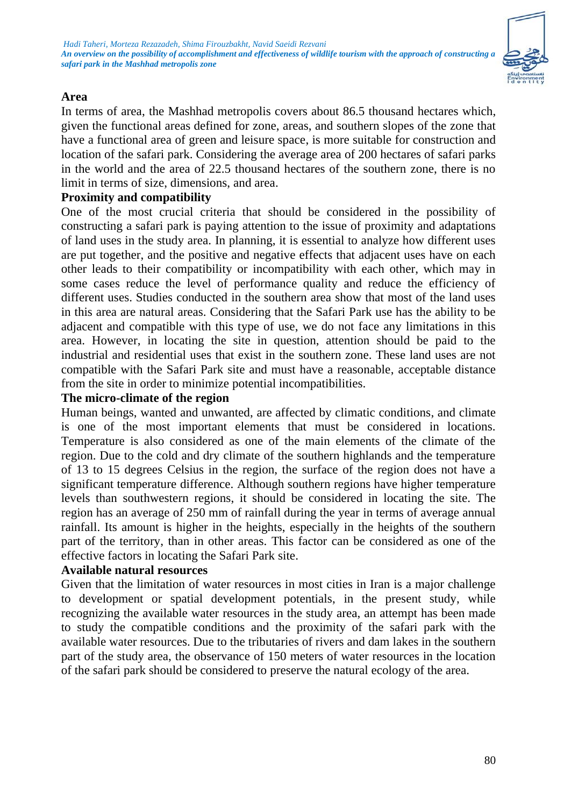

## **Area**

In terms of area, the Mashhad metropolis covers about 86.5 thousand hectares which, given the functional areas defined for zone, areas, and southern slopes of the zone that have a functional area of green and leisure space, is more suitable for construction and location of the safari park. Considering the average area of 200 hectares of safari parks in the world and the area of 22.5 thousand hectares of the southern zone, there is no limit in terms of size, dimensions, and area.

#### **Proximity and compatibility**

One of the most crucial criteria that should be considered in the possibility of constructing a safari park is paying attention to the issue of proximity and adaptations of land uses in the study area. In planning, it is essential to analyze how different uses are put together, and the positive and negative effects that adjacent uses have on each other leads to their compatibility or incompatibility with each other, which may in some cases reduce the level of performance quality and reduce the efficiency of different uses. Studies conducted in the southern area show that most of the land uses in this area are natural areas. Considering that the Safari Park use has the ability to be adjacent and compatible with this type of use, we do not face any limitations in this area. However, in locating the site in question, attention should be paid to the industrial and residential uses that exist in the southern zone. These land uses are not compatible with the Safari Park site and must have a reasonable, acceptable distance from the site in order to minimize potential incompatibilities.

#### **The micro-climate of the region**

Human beings, wanted and unwanted, are affected by climatic conditions, and climate is one of the most important elements that must be considered in locations. Temperature is also considered as one of the main elements of the climate of the region. Due to the cold and dry climate of the southern highlands and the temperature of 13 to 15 degrees Celsius in the region, the surface of the region does not have a significant temperature difference. Although southern regions have higher temperature levels than southwestern regions, it should be considered in locating the site. The region has an average of 250 mm of rainfall during the year in terms of average annual rainfall. Its amount is higher in the heights, especially in the heights of the southern part of the territory, than in other areas. This factor can be considered as one of the effective factors in locating the Safari Park site.

#### **Available natural resources**

Given that the limitation of water resources in most cities in Iran is a major challenge to development or spatial development potentials, in the present study, while recognizing the available water resources in the study area, an attempt has been made to study the compatible conditions and the proximity of the safari park with the available water resources. Due to the tributaries of rivers and dam lakes in the southern part of the study area, the observance of 150 meters of water resources in the location of the safari park should be considered to preserve the natural ecology of the area.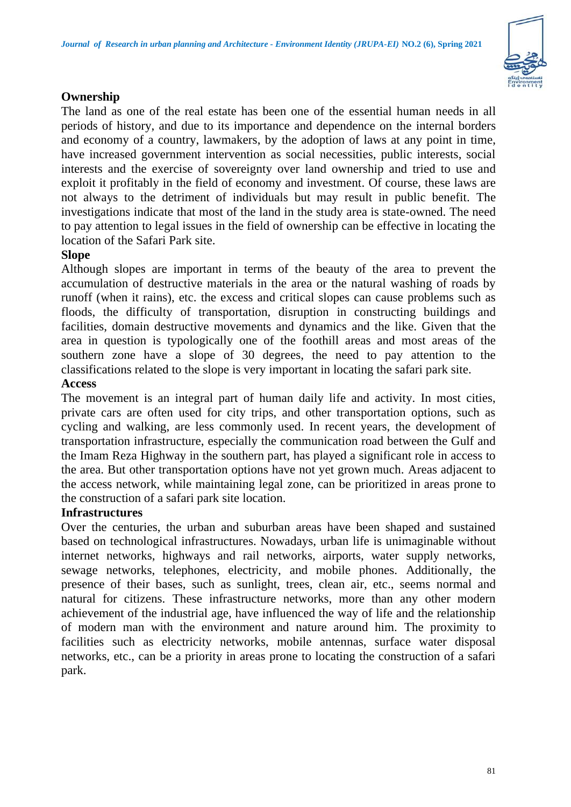

# **Ownership**

The land as one of the real estate has been one of the essential human needs in all periods of history, and due to its importance and dependence on the internal borders and economy of a country, lawmakers, by the adoption of laws at any point in time, have increased government intervention as social necessities, public interests, social interests and the exercise of sovereignty over land ownership and tried to use and exploit it profitably in the field of economy and investment. Of course, these laws are not always to the detriment of individuals but may result in public benefit. The investigations indicate that most of the land in the study area is state-owned. The need to pay attention to legal issues in the field of ownership can be effective in locating the location of the Safari Park site.

## **Slope**

Although slopes are important in terms of the beauty of the area to prevent the accumulation of destructive materials in the area or the natural washing of roads by runoff (when it rains), etc. the excess and critical slopes can cause problems such as floods, the difficulty of transportation, disruption in constructing buildings and facilities, domain destructive movements and dynamics and the like. Given that the area in question is typologically one of the foothill areas and most areas of the southern zone have a slope of 30 degrees, the need to pay attention to the classifications related to the slope is very important in locating the safari park site.

# **Access**

The movement is an integral part of human daily life and activity. In most cities, private cars are often used for city trips, and other transportation options, such as cycling and walking, are less commonly used. In recent years, the development of transportation infrastructure, especially the communication road between the Gulf and the Imam Reza Highway in the southern part, has played a significant role in access to the area. But other transportation options have not yet grown much. Areas adjacent to the access network, while maintaining legal zone, can be prioritized in areas prone to the construction of a safari park site location.

# **Infrastructures**

Over the centuries, the urban and suburban areas have been shaped and sustained based on technological infrastructures. Nowadays, urban life is unimaginable without internet networks, highways and rail networks, airports, water supply networks, sewage networks, telephones, electricity, and mobile phones. Additionally, the presence of their bases, such as sunlight, trees, clean air, etc., seems normal and natural for citizens. These infrastructure networks, more than any other modern achievement of the industrial age, have influenced the way of life and the relationship of modern man with the environment and nature around him. The proximity to facilities such as electricity networks, mobile antennas, surface water disposal networks, etc., can be a priority in areas prone to locating the construction of a safari park.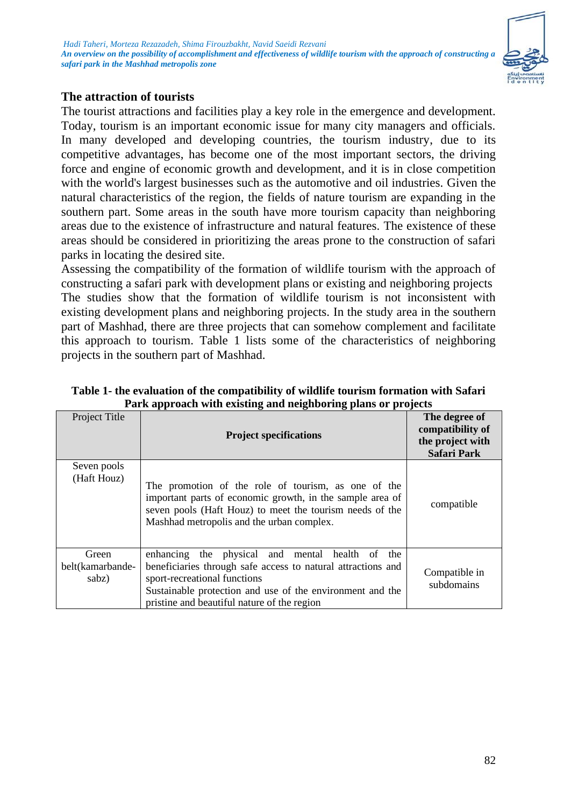

#### **The attraction of tourists**

The tourist attractions and facilities play a key role in the emergence and development. Today, tourism is an important economic issue for many city managers and officials. In many developed and developing countries, the tourism industry, due to its competitive advantages, has become one of the most important sectors, the driving force and engine of economic growth and development, and it is in close competition with the world's largest businesses such as the automotive and oil industries. Given the natural characteristics of the region, the fields of nature tourism are expanding in the southern part. Some areas in the south have more tourism capacity than neighboring areas due to the existence of infrastructure and natural features. The existence of these areas should be considered in prioritizing the areas prone to the construction of safari parks in locating the desired site.

Assessing the compatibility of the formation of wildlife tourism with the approach of constructing a safari park with development plans or existing and neighboring projects The studies show that the formation of wildlife tourism is not inconsistent with existing development plans and neighboring projects. In the study area in the southern part of Mashhad, there are three projects that can somehow complement and facilitate this approach to tourism. Table 1 lists some of the characteristics of neighboring projects in the southern part of Mashhad.

| I aris approach with calsting and heighboring plans or projects |                                                                                                                                                                                                                                                             |                                                                             |
|-----------------------------------------------------------------|-------------------------------------------------------------------------------------------------------------------------------------------------------------------------------------------------------------------------------------------------------------|-----------------------------------------------------------------------------|
| Project Title                                                   | <b>Project specifications</b>                                                                                                                                                                                                                               | The degree of<br>compatibility of<br>the project with<br><b>Safari Park</b> |
| Seven pools<br>(Haft Houz)                                      | The promotion of the role of tourism, as one of the<br>important parts of economic growth, in the sample area of<br>seven pools (Haft Houz) to meet the tourism needs of the<br>Mashhad metropolis and the urban complex.                                   | compatible                                                                  |
| Green<br>belt(kamarbande-<br>sabz)                              | enhancing the physical and mental health of the<br>beneficiaries through safe access to natural attractions and<br>sport-recreational functions<br>Sustainable protection and use of the environment and the<br>pristine and beautiful nature of the region | Compatible in<br>subdomains                                                 |

**Table 1- the evaluation of the compatibility of wildlife tourism formation with Safari Park approach with existing and neighboring plans or projects**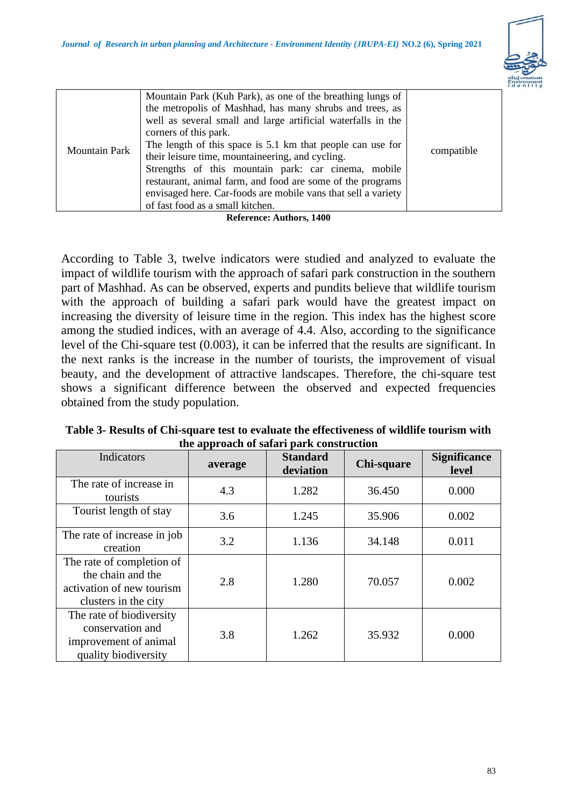

| <b>Mountain Park</b> | Mountain Park (Kuh Park), as one of the breathing lungs of<br>the metropolis of Mashhad, has many shrubs and trees, as<br>well as several small and large artificial waterfalls in the<br>corners of this park.<br>The length of this space is 5.1 km that people can use for<br>their leisure time, mountaineering, and cycling.<br>Strengths of this mountain park: car cinema, mobile<br>restaurant, animal farm, and food are some of the programs<br>envisaged here. Car-foods are mobile vans that sell a variety<br>of fast food as a small kitchen.<br>- 100<br>$\mathbf{r}$ a $\mathbf{r}$ | compatible |
|----------------------|-----------------------------------------------------------------------------------------------------------------------------------------------------------------------------------------------------------------------------------------------------------------------------------------------------------------------------------------------------------------------------------------------------------------------------------------------------------------------------------------------------------------------------------------------------------------------------------------------------|------------|
|----------------------|-----------------------------------------------------------------------------------------------------------------------------------------------------------------------------------------------------------------------------------------------------------------------------------------------------------------------------------------------------------------------------------------------------------------------------------------------------------------------------------------------------------------------------------------------------------------------------------------------------|------------|

**Reference: Authors, 1400**

According to Table 3, twelve indicators were studied and analyzed to evaluate the impact of wildlife tourism with the approach of safari park construction in the southern part of Mashhad. As can be observed, experts and pundits believe that wildlife tourism with the approach of building a safari park would have the greatest impact on increasing the diversity of leisure time in the region. This index has the highest score among the studied indices, with an average of 4.4. Also, according to the significance level of the Chi-square test (0.003), it can be inferred that the results are significant. In the next ranks is the increase in the number of tourists, the improvement of visual beauty, and the development of attractive landscapes. Therefore, the chi-square test shows a significant difference between the observed and expected frequencies obtained from the study population.

| the approach of safari park construction                                                            |         |                              |            |                              |
|-----------------------------------------------------------------------------------------------------|---------|------------------------------|------------|------------------------------|
| Indicators                                                                                          | average | <b>Standard</b><br>deviation | Chi-square | <b>Significance</b><br>level |
| The rate of increase in<br>tourists                                                                 | 4.3     | 1.282                        | 36.450     | 0.000                        |
| Tourist length of stay                                                                              | 3.6     | 1.245                        | 35.906     | 0.002                        |
| The rate of increase in job<br>creation                                                             | 3.2     | 1.136                        | 34.148     | 0.011                        |
| The rate of completion of<br>the chain and the<br>activation of new tourism<br>clusters in the city | 2.8     | 1.280                        | 70.057     | 0.002                        |
| The rate of biodiversity<br>conservation and<br>improvement of animal<br>quality biodiversity       | 3.8     | 1.262                        | 35.932     | 0.000                        |

**Table 3- Results of Chi-square test to evaluate the effectiveness of wildlife tourism with the approach of safari park construction**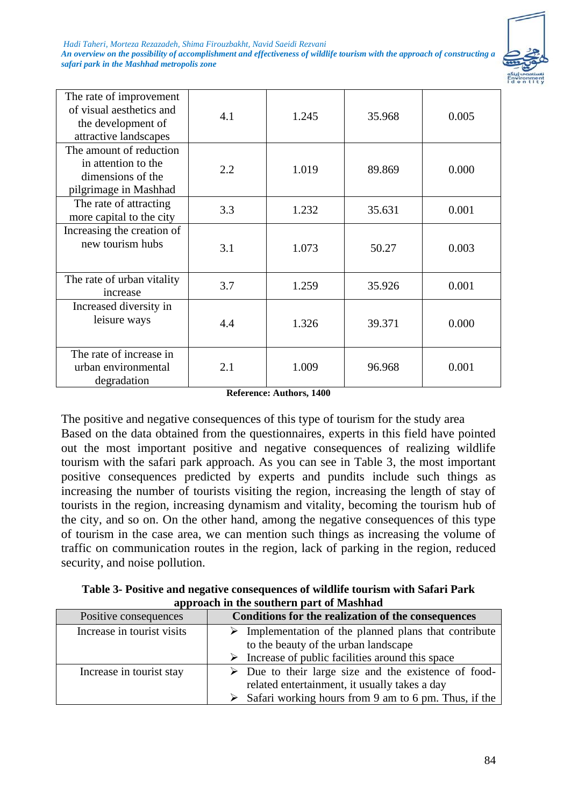*Hadi Taheri, Morteza Rezazadeh, Shima Firouzbakht, Navid Saeidi Rezvani*

*An overview on the possibility of accomplishment and effectiveness of wildlife tourism with the approach of constructing a safari park in the Mashhad metropolis zone*



| The rate of improvement<br>of visual aesthetics and<br>the development of<br>attractive landscapes | 4.1 | 1.245 | 35.968 | 0.005 |
|----------------------------------------------------------------------------------------------------|-----|-------|--------|-------|
| The amount of reduction<br>in attention to the<br>dimensions of the<br>pilgrimage in Mashhad       | 2.2 | 1.019 | 89.869 | 0.000 |
| The rate of attracting<br>more capital to the city                                                 | 3.3 | 1.232 | 35.631 | 0.001 |
| Increasing the creation of<br>new tourism hubs                                                     | 3.1 | 1.073 | 50.27  | 0.003 |
| The rate of urban vitality<br>increase                                                             | 3.7 | 1.259 | 35.926 | 0.001 |
| Increased diversity in<br>leisure ways                                                             | 4.4 | 1.326 | 39.371 | 0.000 |
| The rate of increase in<br>urban environmental<br>degradation                                      | 2.1 | 1.009 | 96.968 | 0.001 |

**Reference: Authors, 1400**

The positive and negative consequences of this type of tourism for the study area Based on the data obtained from the questionnaires, experts in this field have pointed out the most important positive and negative consequences of realizing wildlife tourism with the safari park approach. As you can see in Table 3, the most important positive consequences predicted by experts and pundits include such things as increasing the number of tourists visiting the region, increasing the length of stay of tourists in the region, increasing dynamism and vitality, becoming the tourism hub of the city, and so on. On the other hand, among the negative consequences of this type of tourism in the case area, we can mention such things as increasing the volume of traffic on communication routes in the region, lack of parking in the region, reduced security, and noise pollution.

**Table 3- Positive and negative consequences of wildlife tourism with Safari Park approach in the southern part of Mashhad**

| Positive consequences      | Conditions for the realization of the consequences                                                                   |
|----------------------------|----------------------------------------------------------------------------------------------------------------------|
| Increase in tourist visits | $\triangleright$ Implementation of the planned plans that contribute<br>to the beauty of the urban landscape         |
|                            | $\triangleright$ Increase of public facilities around this space                                                     |
| Increase in tourist stay   | $\triangleright$ Due to their large size and the existence of food-<br>related entertainment, it usually takes a day |
|                            | $\triangleright$ Safari working hours from 9 am to 6 pm. Thus, if the                                                |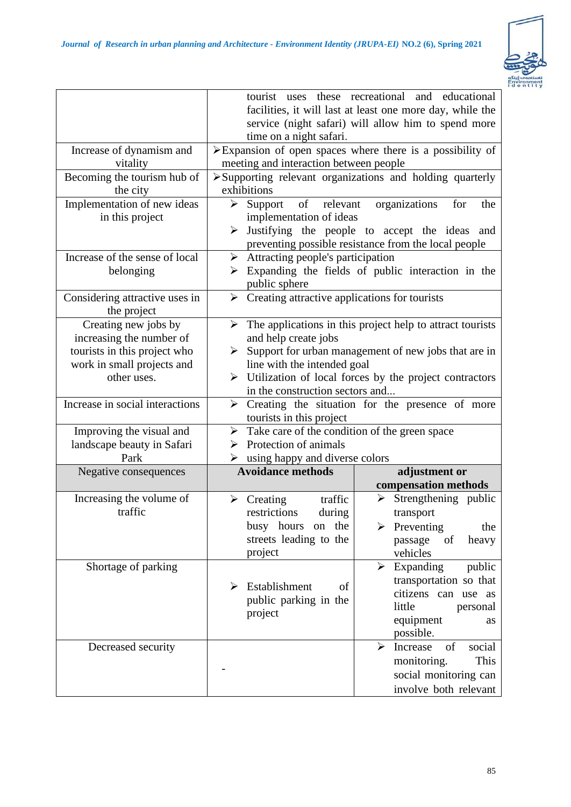

|                                               | time on a night safari.                                               | tourist uses these recreational and educational<br>facilities, it will last at least one more day, while the<br>service (night safari) will allow him to spend more |  |
|-----------------------------------------------|-----------------------------------------------------------------------|---------------------------------------------------------------------------------------------------------------------------------------------------------------------|--|
| Increase of dynamism and                      |                                                                       | $\triangleright$ Expansion of open spaces where there is a possibility of                                                                                           |  |
| vitality                                      | meeting and interaction between people                                |                                                                                                                                                                     |  |
| Becoming the tourism hub of<br>the city       | exhibitions                                                           | >Supporting relevant organizations and holding quarterly                                                                                                            |  |
| Implementation of new ideas                   | relevant<br>➤<br>Support<br>of                                        | organizations<br>for<br>the                                                                                                                                         |  |
| in this project                               | implementation of ideas                                               |                                                                                                                                                                     |  |
|                                               | ➤                                                                     | Justifying the people to accept the ideas and<br>preventing possible resistance from the local people                                                               |  |
| Increase of the sense of local                | Attracting people's participation<br>$\blacktriangleright$            |                                                                                                                                                                     |  |
| belonging                                     |                                                                       | Expanding the fields of public interaction in the                                                                                                                   |  |
|                                               | public sphere                                                         |                                                                                                                                                                     |  |
| Considering attractive uses in<br>the project | $\triangleright$ Creating attractive applications for tourists        |                                                                                                                                                                     |  |
| Creating new jobs by                          | ➤                                                                     | The applications in this project help to attract tourists                                                                                                           |  |
| increasing the number of                      | and help create jobs                                                  |                                                                                                                                                                     |  |
| tourists in this project who                  | $\triangleright$ Support for urban management of new jobs that are in |                                                                                                                                                                     |  |
| work in small projects and                    | line with the intended goal                                           |                                                                                                                                                                     |  |
| other uses.                                   | in the construction sectors and                                       | > Utilization of local forces by the project contractors                                                                                                            |  |
| Increase in social interactions               |                                                                       | $\triangleright$ Creating the situation for the presence of more                                                                                                    |  |
|                                               | tourists in this project                                              |                                                                                                                                                                     |  |
| Improving the visual and                      | $\triangleright$ Take care of the condition of the green space        |                                                                                                                                                                     |  |
| landscape beauty in Safari                    | Protection of animals<br>⋗                                            |                                                                                                                                                                     |  |
| Park                                          | using happy and diverse colors<br>➤                                   |                                                                                                                                                                     |  |
| Negative consequences                         | <b>Avoidance methods</b>                                              | adjustment or                                                                                                                                                       |  |
|                                               |                                                                       | compensation methods                                                                                                                                                |  |
| Increasing the volume of                      | traffic<br>$\triangleright$ Creating                                  | Strengthening public<br>➤                                                                                                                                           |  |
| traffic                                       | restrictions<br>during                                                | transport                                                                                                                                                           |  |
|                                               | busy hours on<br>the                                                  | Preventing<br>the                                                                                                                                                   |  |
|                                               | streets leading to the                                                | passage<br>of<br>heavy                                                                                                                                              |  |
|                                               | project                                                               | vehicles                                                                                                                                                            |  |
| Shortage of parking                           |                                                                       | Expanding<br>public<br>➤                                                                                                                                            |  |
|                                               | Establishment<br>of<br>➤                                              | transportation so that                                                                                                                                              |  |
|                                               | public parking in the                                                 | citizens can use as                                                                                                                                                 |  |
|                                               | project                                                               | little<br>personal                                                                                                                                                  |  |
|                                               |                                                                       | equipment<br>as                                                                                                                                                     |  |
|                                               |                                                                       |                                                                                                                                                                     |  |
|                                               |                                                                       | possible.                                                                                                                                                           |  |
| Decreased security                            |                                                                       | social<br>Increase<br>of<br>⋗                                                                                                                                       |  |
|                                               |                                                                       | monitoring.<br>This                                                                                                                                                 |  |
|                                               |                                                                       | social monitoring can<br>involve both relevant                                                                                                                      |  |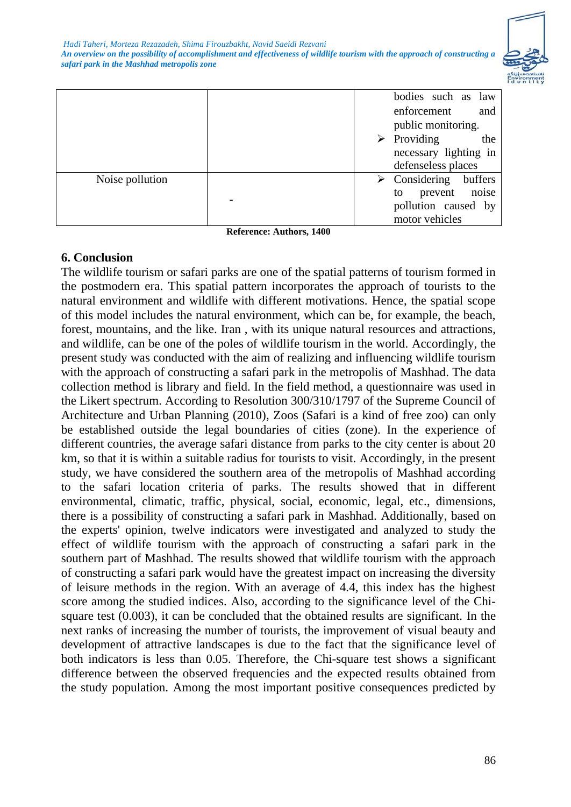

|                 | bodies such as law                      |
|-----------------|-----------------------------------------|
|                 | enforcement<br>and                      |
|                 | public monitoring.                      |
|                 | $\triangleright$ Providing<br>the       |
|                 | necessary lighting in                   |
|                 | defenseless places                      |
| Noise pollution | $\triangleright$ Considering<br>buffers |
|                 | prevent noise<br>to                     |
|                 | pollution caused by                     |
|                 | motor vehicles                          |

**Reference: Authors, 1400**

## **6. Conclusion**

The wildlife tourism or safari parks are one of the spatial patterns of tourism formed in the postmodern era. This spatial pattern incorporates the approach of tourists to the natural environment and wildlife with different motivations. Hence, the spatial scope of this model includes the natural environment, which can be, for example, the beach, forest, mountains, and the like. Iran , with its unique natural resources and attractions, and wildlife, can be one of the poles of wildlife tourism in the world. Accordingly, the present study was conducted with the aim of realizing and influencing wildlife tourism with the approach of constructing a safari park in the metropolis of Mashhad. The data collection method is library and field. In the field method, a questionnaire was used in the Likert spectrum. According to Resolution 300/310/1797 of the Supreme Council of Architecture and Urban Planning (2010), Zoos (Safari is a kind of free zoo) can only be established outside the legal boundaries of cities (zone). In the experience of different countries, the average safari distance from parks to the city center is about 20 km, so that it is within a suitable radius for tourists to visit. Accordingly, in the present study, we have considered the southern area of the metropolis of Mashhad according to the safari location criteria of parks. The results showed that in different environmental, climatic, traffic, physical, social, economic, legal, etc., dimensions, there is a possibility of constructing a safari park in Mashhad. Additionally, based on the experts' opinion, twelve indicators were investigated and analyzed to study the effect of wildlife tourism with the approach of constructing a safari park in the southern part of Mashhad. The results showed that wildlife tourism with the approach of constructing a safari park would have the greatest impact on increasing the diversity of leisure methods in the region. With an average of 4.4, this index has the highest score among the studied indices. Also, according to the significance level of the Chisquare test (0.003), it can be concluded that the obtained results are significant. In the next ranks of increasing the number of tourists, the improvement of visual beauty and development of attractive landscapes is due to the fact that the significance level of both indicators is less than 0.05. Therefore, the Chi-square test shows a significant difference between the observed frequencies and the expected results obtained from the study population. Among the most important positive consequences predicted by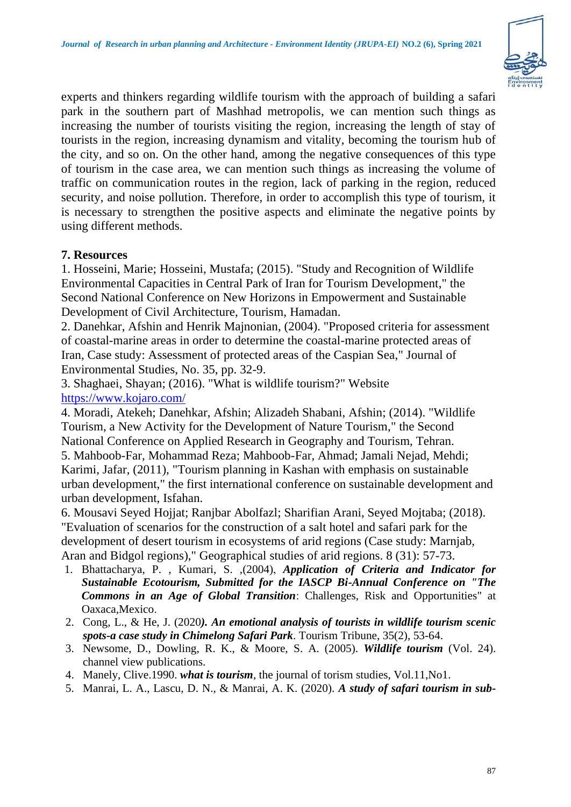

experts and thinkers regarding wildlife tourism with the approach of building a safari park in the southern part of Mashhad metropolis, we can mention such things as increasing the number of tourists visiting the region, increasing the length of stay of tourists in the region, increasing dynamism and vitality, becoming the tourism hub of the city, and so on. On the other hand, among the negative consequences of this type of tourism in the case area, we can mention such things as increasing the volume of traffic on communication routes in the region, lack of parking in the region, reduced security, and noise pollution. Therefore, in order to accomplish this type of tourism, it is necessary to strengthen the positive aspects and eliminate the negative points by using different methods.

## **7. Resources**

1. Hosseini, Marie; Hosseini, Mustafa; (2015). "Study and Recognition of Wildlife Environmental Capacities in Central Park of Iran for Tourism Development," the Second National Conference on New Horizons in Empowerment and Sustainable Development of Civil Architecture, Tourism, Hamadan.

2. Danehkar, Afshin and Henrik Majnonian, (2004). "Proposed criteria for assessment of coastal-marine areas in order to determine the coastal-marine protected areas of Iran, Case study: Assessment of protected areas of the Caspian Sea," Journal of Environmental Studies, No. 35, pp. 32-9.

3. Shaghaei, Shayan; (2016). "What is wildlife tourism?" Website <https://www.kojaro.com/>

4. Moradi, Atekeh; Danehkar, Afshin; Alizadeh Shabani, Afshin; (2014). "Wildlife Tourism, a New Activity for the Development of Nature Tourism," the Second National Conference on Applied Research in Geography and Tourism, Tehran. 5. Mahboob-Far, Mohammad Reza; Mahboob-Far, Ahmad; Jamali Nejad, Mehdi; Karimi, Jafar, (2011), "Tourism planning in Kashan with emphasis on sustainable urban development," the first international conference on sustainable development and urban development, Isfahan.

6. Mousavi Seyed Hojjat; Ranjbar Abolfazl; Sharifian Arani, Seyed Mojtaba; (2018). "Evaluation of scenarios for the construction of a salt hotel and safari park for the development of desert tourism in ecosystems of arid regions (Case study: Marnjab, Aran and Bidgol regions)," Geographical studies of arid regions. 8 (31): 57-73.

- 1. Bhattacharya, P. , Kumari, S. ,(2004), *Application of Criteria and Indicator for Sustainable Ecotourism, Submitted for the IASCP Bi-Annual Conference on "The Commons in an Age of Global Transition*: Challenges, Risk and Opportunities" at Oaxaca, Mexico.
- 2. Cong, L., & He, J. (2020*). An emotional analysis of tourists in wildlife tourism scenic spots-a case study in Chimelong Safari Park*. Tourism Tribune, 35(2), 53-64.
- 3. Newsome, D., Dowling, R. K., & Moore, S. A. (2005). *Wildlife tourism* (Vol. 24). channel view publications.
- 4. Manely, Clive.1990. *what is tourism*, the journal of torism studies, Vol.11,No1.
- 5. Manrai, L. A., Lascu, D. N., & Manrai, A. K. (2020). *A study of safari tourism in sub-*